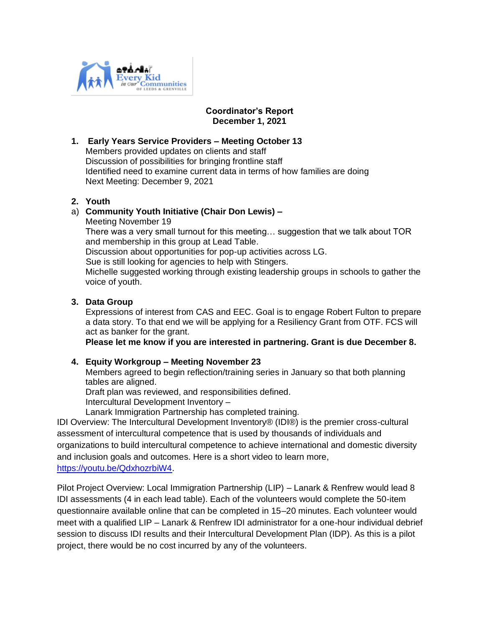

## **Coordinator's Report December 1, 2021**

## **1. Early Years Service Providers – Meeting October 13**

Members provided updates on clients and staff Discussion of possibilities for bringing frontline staff Identified need to examine current data in terms of how families are doing Next Meeting: December 9, 2021

#### **2. Youth**

## a) **Community Youth Initiative (Chair Don Lewis) –**

Meeting November 19

 There was a very small turnout for this meeting… suggestion that we talk about TOR and membership in this group at Lead Table.

Discussion about opportunities for pop-up activities across LG.

Sue is still looking for agencies to help with Stingers.

 Michelle suggested working through existing leadership groups in schools to gather the voice of youth.

#### **3. Data Group**

Expressions of interest from CAS and EEC. Goal is to engage Robert Fulton to prepare a data story. To that end we will be applying for a Resiliency Grant from OTF. FCS will act as banker for the grant.

**Please let me know if you are interested in partnering. Grant is due December 8.**

# **4. Equity Workgroup – Meeting November 23**

Members agreed to begin reflection/training series in January so that both planning tables are aligned.

Draft plan was reviewed, and responsibilities defined.

Intercultural Development Inventory –

Lanark Immigration Partnership has completed training.

IDI Overview: The Intercultural Development Inventory® (IDI®) is the premier cross-cultural assessment of intercultural competence that is used by thousands of individuals and organizations to build intercultural competence to achieve international and domestic diversity and inclusion goals and outcomes. Here is a short video to learn more, [https://youtu.be/QdxhozrbiW4.](https://can01.safelinks.protection.outlook.com/?url=https%3A%2F%2Fyoutu.be%2FQdxhozrbiW4&data=04%7C01%7Ccoordinator%40cmhlg.ca%7C22a678b600f048e99dd708d9b2aa663a%7C8fcec33ca081439db2ccde219ad27b4b%7C0%7C0%7C637737267197792015%7CUnknown%7CTWFpbGZsb3d8eyJWIjoiMC4wLjAwMDAiLCJQIjoiV2luMzIiLCJBTiI6Ik1haWwiLCJXVCI6Mn0%3D%7C3000&sdata=xI8QyxdIKIC%2Byghm%2BCSJddPoHWtGTmZd6L3PcRE2iTI%3D&reserved=0)

Pilot Project Overview: Local Immigration Partnership (LIP) – Lanark & Renfrew would lead 8 IDI assessments (4 in each lead table). Each of the volunteers would complete the 50-item questionnaire available online that can be completed in 15–20 minutes. Each volunteer would meet with a qualified LIP – Lanark & Renfrew IDI administrator for a one-hour individual debrief session to discuss IDI results and their Intercultural Development Plan (IDP). As this is a pilot project, there would be no cost incurred by any of the volunteers.